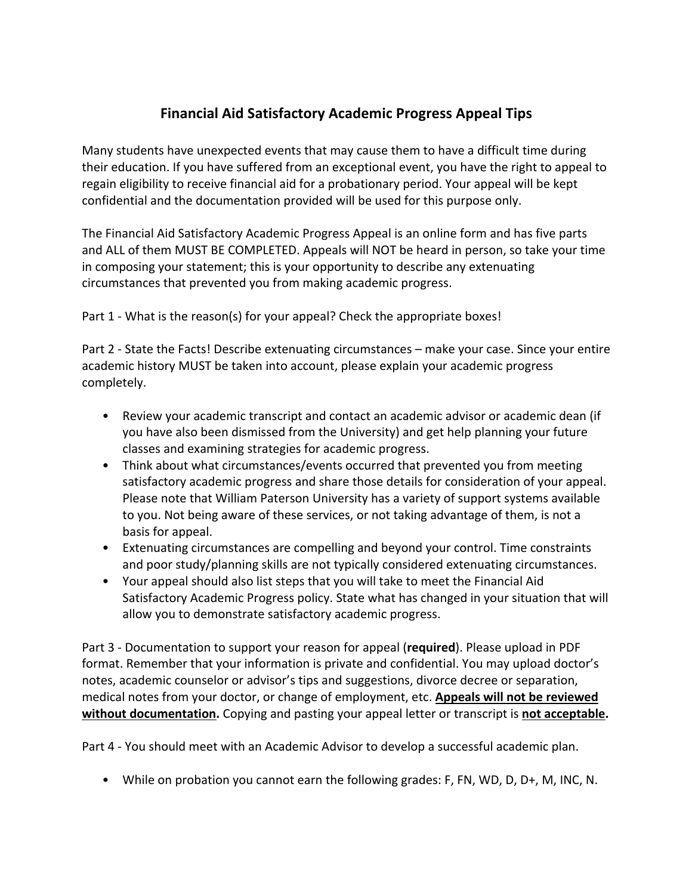## **Financial Aid Satisfactory Academic Progress Appeal Tips**

Many students have unexpected events that may cause them to have a difficult time during their education. If you have suffered from an exceptional event, you have the right to appeal to regain eligibility to receive financial aid for a probationary period. Your appeal will be kept confidential and the documentation provided will be used for this purpose only.

The Financial Aid Satisfactory Academic Progress Appeal is an online form and has five parts and ALL of them MUST BE COMPLETED. Appeals will NOT be heard in person, so take your time in composing your statement; this is your opportunity to describe any extenuating circumstances that prevented you from making academic progress.

Part 1 - What is the reason(s) for your appeal? Check the appropriate boxes!

Part 2 - State the Facts! Describe extenuating circumstances – make your case. Since your entire academic history MUST be taken into account, please explain your academic progress completely.

- Review your academic transcript and contact an academic advisor or academic dean (if you have also been dismissed from the University) and get help planning your future classes and examining strategies for academic progress.
- Think about what circumstances/events occurred that prevented you from meeting satisfactory academic progress and share those details for consideration of your appeal. Please note that William Paterson University has a variety of support systems available to you. Not being aware of these services, or not taking advantage of them, is not a basis for appeal.
- Extenuating circumstances are compelling and beyond your control. Time constraints and poor study/planning skills are not typically considered extenuating circumstances.
- Your appeal should also list steps that you will take to meet the Financial Aid Satisfactory Academic Progress policy. State what has changed in your situation that will allow you to demonstrate satisfactory academic progress.

Part 3 - Documentation to support your reason for appeal (**required**). Please upload in PDF format. Remember that your information is private and confidential. You may upload doctor's notes, academic counselor or advisor's tips and suggestions, divorce decree or separation, medical notes from your doctor, or change of employment, etc. **Appeals will not be reviewed without documentation.** Copying and pasting your appeal letter or transcript is **not acceptable.** 

Part 4 - You should meet with an Academic Advisor to develop a successful academic plan.

• While on probation you cannot earn the following grades: F, FN, WD, D, D+, M, INC, N.